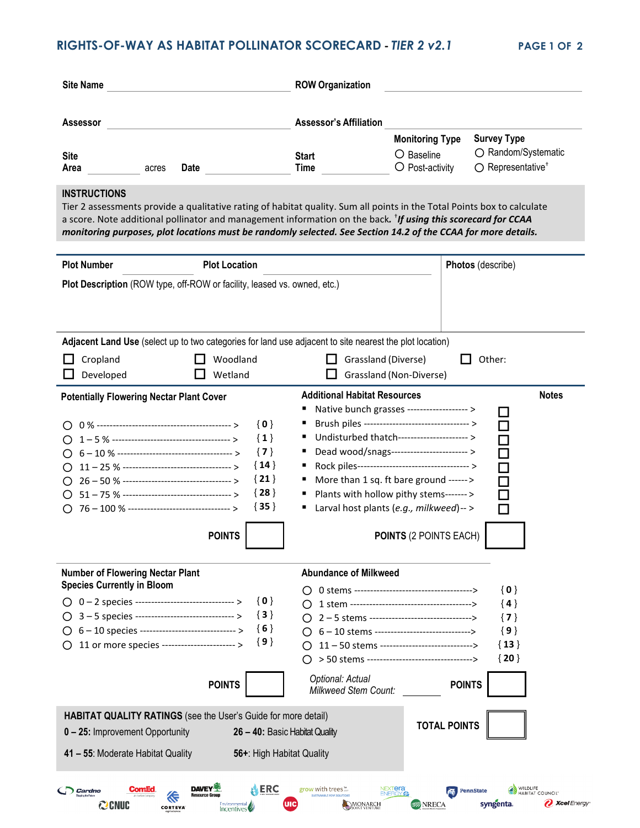## **RIGHTS-OF-WAY AS HABITAT POLLINATOR SCORECARD -** *TIER 2 v2.1* **PAGE 1 OF 2**

| <b>Site Name</b>                                                                                                                                                                                                                                                                                                                                                                             |                                                                                                | <b>ROW Organization</b>                         |                                                                                                                                                                                                                                                                                                   |                                                                                     |
|----------------------------------------------------------------------------------------------------------------------------------------------------------------------------------------------------------------------------------------------------------------------------------------------------------------------------------------------------------------------------------------------|------------------------------------------------------------------------------------------------|-------------------------------------------------|---------------------------------------------------------------------------------------------------------------------------------------------------------------------------------------------------------------------------------------------------------------------------------------------------|-------------------------------------------------------------------------------------|
| <b>Assessor</b>                                                                                                                                                                                                                                                                                                                                                                              |                                                                                                | <b>Assessor's Affiliation</b>                   |                                                                                                                                                                                                                                                                                                   |                                                                                     |
| <b>Site</b><br>Area<br>acres                                                                                                                                                                                                                                                                                                                                                                 | <b>Date</b>                                                                                    | <b>Start</b><br><b>Time</b>                     | <b>Monitoring Type</b><br>O Baseline<br>$\bigcirc$ Post-activity                                                                                                                                                                                                                                  | <b>Survey Type</b><br>○ Random/Systematic<br>$\bigcirc$ Representative <sup>+</sup> |
| <b>INSTRUCTIONS</b><br>Tier 2 assessments provide a qualitative rating of habitat quality. Sum all points in the Total Points box to calculate<br>a score. Note additional pollinator and management information on the back. <sup>†</sup> If using this scorecard for CCAA<br>monitoring purposes, plot locations must be randomly selected. See Section 14.2 of the CCAA for more details. |                                                                                                |                                                 |                                                                                                                                                                                                                                                                                                   |                                                                                     |
| <b>Plot Number</b>                                                                                                                                                                                                                                                                                                                                                                           | <b>Plot Location</b>                                                                           |                                                 |                                                                                                                                                                                                                                                                                                   | Photos (describe)                                                                   |
| Plot Description (ROW type, off-ROW or facility, leased vs. owned, etc.)<br>Adjacent Land Use (select up to two categories for land use adjacent to site nearest the plot location)<br>Cropland<br>Developed                                                                                                                                                                                 | Woodland<br>Wetland                                                                            |                                                 | Grassland (Diverse)<br>Grassland (Non-Diverse)                                                                                                                                                                                                                                                    | Other:                                                                              |
| <b>Potentially Flowering Nectar Plant Cover</b>                                                                                                                                                                                                                                                                                                                                              |                                                                                                | <b>Additional Habitat Resources</b>             |                                                                                                                                                                                                                                                                                                   | <b>Notes</b>                                                                        |
|                                                                                                                                                                                                                                                                                                                                                                                              | $\{0\}$<br>$\{1\}$<br>$\{7\}$<br>$\{14\}$<br>$\{21\}$<br>$\{28\}$<br>$\{35\}$<br><b>POINTS</b> | Е<br>п                                          | Native bunch grasses -------------------><br>Undisturbed thatch----------------------><br>Dead wood/snags------------------------><br>More than 1 sq. ft bare ground ------><br>Plants with hollow pithy stems-------><br>Larval host plants (e.g., milkweed)--><br><b>POINTS (2 POINTS EACH)</b> | $\Box$<br>l I                                                                       |
|                                                                                                                                                                                                                                                                                                                                                                                              |                                                                                                |                                                 |                                                                                                                                                                                                                                                                                                   |                                                                                     |
| <b>Number of Flowering Nectar Plant</b><br><b>Species Currently in Bloom</b><br>0-2 species ---------------------------------><br>3-5 species ----------------------------------><br>6-10 species ----------------------------------><br>11 or more species ----------------------->                                                                                                         | $\{0\}$<br>$\{3\}$<br>$\{6\}$<br>$\{9\}$                                                       | <b>Abundance of Milkweed</b>                    | 2-5 stems ---------------------------------><br>6-10 stems --------------------------------><br>11-50 stems ------------------------------><br>> 50 stems ---------------------------------->                                                                                                     | $\{0\}$<br>$\{4\}$<br>$\{7\}$<br>$\{9\}$<br>$\{13\}$<br>$\{ 20 \}$                  |
|                                                                                                                                                                                                                                                                                                                                                                                              | <b>POINTS</b>                                                                                  | Optional: Actual<br><b>Milkweed Stem Count:</b> | <b>POINTS</b>                                                                                                                                                                                                                                                                                     |                                                                                     |
| HABITAT QUALITY RATINGS (see the User's Guide for more detail)<br>0 - 25: Improvement Opportunity                                                                                                                                                                                                                                                                                            |                                                                                                | 26 - 40: Basic Habitat Quality                  | <b>TOTAL POINTS</b>                                                                                                                                                                                                                                                                               |                                                                                     |